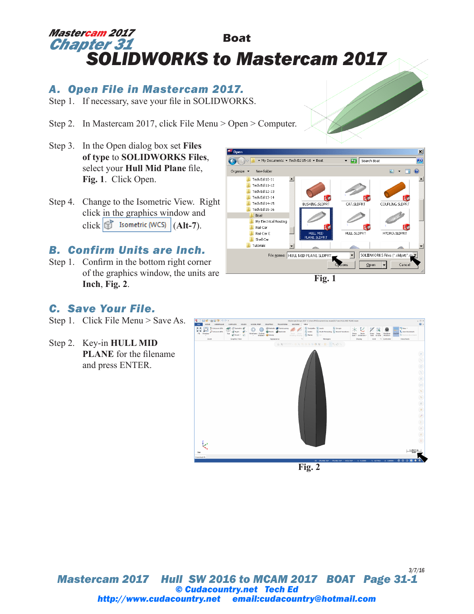# **Boat** *SOLIDWORKS to Mastercam 2017 Mastercam 2017 Chapter 31*

## *A. Open File in Mastercam 2017.*

- Step 1. If necessary, save your file in SOLIDWORKS.
- Step 2. In Mastercam 2017, click File Menu > Open > Computer.
- Step 3. In the Open dialog box set **Files of type** to **SOLIDWORKS Files**, select your **Hull Mid Plane** file, **Fig. 1**. Click Open.
- Step 4. Change to the Isometric View. Right click in the graphics window and click  $\left|\mathbb{G}\right|$  Isometric (WCS)  $\left| \right|$  (Alt-7).

### *B. Confirm Units are Inch.*

Step 1. Confirm in the bottom right corner of the graphics window, the units are **Inch**, **Fig. 2**.



**Fig. 1**

#### *C. Save Your File.*

- Step 1. Click File Menu > Save As.
- Step 2. Key-in **HULL MID PLANE** for the filename and press ENTER.



*Mastercam 2017 Hull SW 2016 to MCAM 2017 BOAT Page 31-1 3/7/16 © Cudacountry.net Tech Ed http://www.cudacountry.net email:cudacountry@hotmail.com*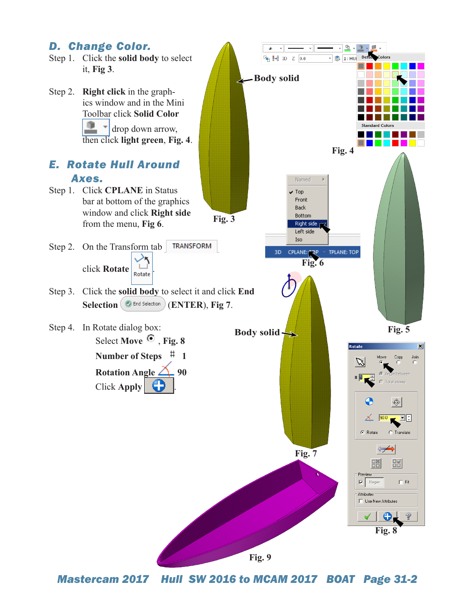

*Mastercam 2017 Hull SW 2016 to MCAM 2017 BOAT Page 31-2*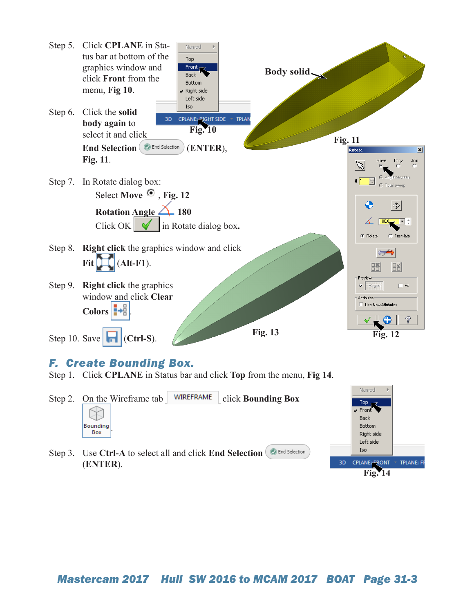

## *F. Create Bounding Box.*

Step 1. Click **CPLANE** in Status bar and click **Top** from the menu, **Fig 14**.